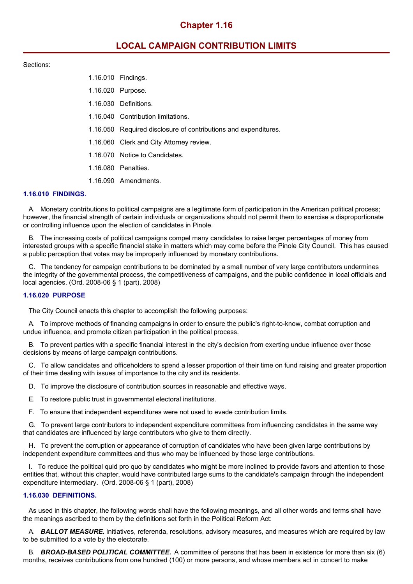# **Chapter 1.16**

# **LOCAL CAMPAIGN CONTRIBUTION LIMITS**

## Sections:

| 1.16.010 Findings.                                              |
|-----------------------------------------------------------------|
| 1.16.020 Purpose.                                               |
| 1.16.030 Definitions.                                           |
| 1.16.040 Contribution limitations.                              |
| 1.16.050 Required disclosure of contributions and expenditures. |
| 1.16.060 Clerk and City Attorney review.                        |
| 1.16.070 Notice to Candidates.                                  |
| 1.16.080 Penalties.                                             |
| 1.16.090 Amendments.                                            |

## **1.16.010 FINDINGS.**

A. Monetary contributions to political campaigns are a legitimate form of participation in the American political process; however, the financial strength of certain individuals or organizations should not permit them to exercise a disproportionate or controlling influence upon the election of candidates in Pinole.

B. The increasing costs of political campaigns compel many candidates to raise larger percentages of money from interested groups with a specific financial stake in matters which may come before the Pinole City Council. This has caused a public perception that votes may be improperly influenced by monetary contributions.

C. The tendency for campaign contributions to be dominated by a small number of very large contributors undermines the integrity of the governmental process, the competitiveness of campaigns, and the public confidence in local officials and local agencies. (Ord. 2008-06 § 1 (part), 2008)

### **1.16.020 PURPOSE**

The City Council enacts this chapter to accomplish the following purposes:

A. To improve methods of financing campaigns in order to ensure the public's right-to-know, combat corruption and undue influence, and promote citizen participation in the political process.

B. To prevent parties with a specific financial interest in the city's decision from exerting undue influence over those decisions by means of large campaign contributions.

C. To allow candidates and officeholders to spend a lesser proportion of their time on fund raising and greater proportion of their time dealing with issues of importance to the city and its residents.

D. To improve the disclosure of contribution sources in reasonable and effective ways.

E. To restore public trust in governmental electoral institutions.

F. To ensure that independent expenditures were not used to evade contribution limits.

G. To prevent large contributors to independent expenditure committees from influencing candidates in the same way that candidates are influenced by large contributors who give to them directly.

H. To prevent the corruption or appearance of corruption of candidates who have been given large contributions by independent expenditure committees and thus who may be influenced by those large contributions.

I. To reduce the political quid pro quo by candidates who might be more inclined to provide favors and attention to those entities that, without this chapter, would have contributed large sums to the candidate's campaign through the independent expenditure intermediary. (Ord. 2008-06 § 1 (part), 2008)

### **1.16.030 DEFINITIONS.**

As used in this chapter, the following words shall have the following meanings, and all other words and terms shall have the meanings ascribed to them by the definitions set forth in the Political Reform Act:

A. *BALLOT MEASURE.* Initiatives, referenda, resolutions, advisory measures, and measures which are required by law to be submitted to a vote by the electorate.

B. *BROAD-BASED POLITICAL COMMITTEE.* A committee of persons that has been in existence for more than six (6) months, receives contributions from one hundred (100) or more persons, and whose members act in concert to make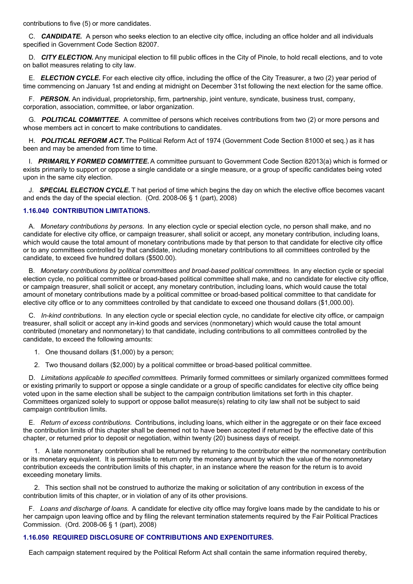contributions to five (5) or more candidates.

C. **CANDIDATE.** A person who seeks election to an elective city office, including an office holder and all individuals specified in Government Code Section 82007.

D. *CITY ELECTION.* Any municipal election to fill public offices in the City of Pinole, to hold recall elections, and to vote on ballot measures relating to city law.

E. *ELECTION CYCLE.* For each elective city office, including the office of the City Treasurer, a two (2) year period of time commencing on January 1st and ending at midnight on December 31st following the next election for the same office.

F. *PERSON.* An individual, proprietorship, firm, partnership, joint venture, syndicate, business trust, company, corporation, association, committee, or labor organization.

G. *POLITICAL COMMITTEE.* A committee of persons which receives contributions from two (2) or more persons and whose members act in concert to make contributions to candidates.

H. *POLITICAL REFORM ACT.* The Political Reform Act of 1974 (Government Code Section 81000 et seq.) as it has been and may be amended from time to time.

I. *PRIMARILY FORMED COMMITTEE.* A committee pursuant to Government Code Section 82013(a) which is formed or exists primarily to support or oppose a single candidate or a single measure, or a group of specific candidates being voted upon in the same city election.

J. *SPECIAL ELECTION CYCLE.* T hat period of time which begins the day on which the elective office becomes vacant and ends the day of the special election. (Ord. 2008-06 § 1 (part), 2008)

# **1.16.040 CONTRIBUTION LIMITATIONS.**

A. *Monetary contributions by persons.* In any election cycle or special election cycle, no person shall make, and no candidate for elective city office, or campaign treasurer, shall solicit or accept, any monetary contribution, including loans, which would cause the total amount of monetary contributions made by that person to that candidate for elective city office or to any committees controlled by that candidate, including monetary contributions to all committees controlled by the candidate, to exceed five hundred dollars (\$500.00).

B. *Monetary contributions by political committees and broad-based political committees.* In any election cycle or special election cycle, no political committee or broad-based political committee shall make, and no candidate for elective city office, or campaign treasurer, shall solicit or accept, any monetary contribution, including loans, which would cause the total amount of monetary contributions made by a political committee or broad-based political committee to that candidate for elective city office or to any committees controlled by that candidate to exceed one thousand dollars (\$1,000.00).

C. *In-kind contributions.* In any election cycle or special election cycle, no candidate for elective city office, or campaign treasurer, shall solicit or accept any in-kind goods and services (nonmonetary) which would cause the total amount contributed (monetary and nonmonetary) to that candidate, including contributions to all committees controlled by the candidate, to exceed the following amounts:

- 1. One thousand dollars (\$1,000) by a person;
- 2. Two thousand dollars (\$2,000) by a political committee or broad-based political committee.

D. *Limitations applicable to specified committees.* Primarily formed committees or similarly organized committees formed or existing primarily to support or oppose a single candidate or a group of specific candidates for elective city office being voted upon in the same election shall be subject to the campaign contribution limitations set forth in this chapter. Committees organized solely to support or oppose ballot measure(s) relating to city law shall not be subject to said campaign contribution limits.

E. *Return of excess contributions.* Contributions, including loans, which either in the aggregate or on their face exceed the contribution limits of this chapter shall be deemed not to have been accepted if returned by the effective date of this chapter, or returned prior to deposit or negotiation, within twenty (20) business days of receipt.

1. A late nonmonetary contribution shall be returned by returning to the contributor either the nonmonetary contribution or its monetary equivalent. It is permissible to return only the monetary amount by which the value of the nonmonetary contribution exceeds the contribution limits of this chapter, in an instance where the reason for the return is to avoid exceeding monetary limits.

2. This section shall not be construed to authorize the making or solicitation of any contribution in excess of the contribution limits of this chapter, or in violation of any of its other provisions.

F. *Loans and discharge of loans.* A candidate for elective city office may forgive loans made by the candidate to his or her campaign upon leaving office and by filing the relevant termination statements required by the Fair Political Practices Commission. (Ord. 2008-06 § 1 (part), 2008)

# **1.16.050 REQUIRED DISCLOSURE OF CONTRIBUTIONS AND EXPENDITURES.**

Each campaign statement required by the Political Reform Act shall contain the same information required thereby,